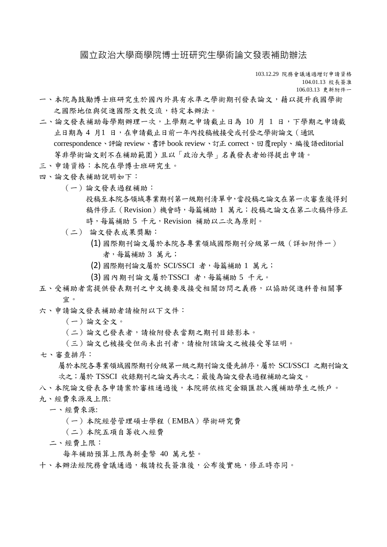## 國立政治大學商學院博士班研究生學術論文發表補助辦法

103.12.29 院務會議通過增訂申請資格

104.01.13 校長簽准 106.03.13 更新附件一

- 一、本院為鼓勵博士班研究生於國內外具有水準之學術期刊發表論文,藉以提升我國學術 之國際地位與促進國際文教交流,特定本辦法。
- 二、論文發表補助每學期辦理一次,上學期之申請截止日為 10 月 1 日,下學期之申請截 止日期為 4 月1 日,在申請截止日前一年內投稿被接受或刊登之學術論文(通訊 correspondence、評論 review、書評 book review、訂正 correct、回覆reply、編後語editorial 等非學術論文則不在補助範圍)且以「政治大學」名義發表者始得提出申請。
- 三、申請資格:本院在學博士班研究生。
- 四、論文發表補助說明如下:
	- (一)論文發表過程補助:

投稿至本院各領域專業期刊第一級期刊清單中,當投稿之論文在第一次審查後得到 稿件修正(Revision)機會時,每篇補助 1 萬元;投稿之論文在第二次稿件修正 時,每篇補助 5 千元,Revision 補助以二次為原則。

- (二) 論文發表成果獎勵:
	- (1) 國際期刊論文屬於本院各專業領域國際期刊分級第一級(詳如附件一) 者,每篇補助 3 萬元;
	- (2) 國際期刊論文屬於 SCI/SSCI 者,每篇補助 1 萬元;
	- (3) 國內期刊論文屬於TSSCI 者,每篇補助 5 千元。
- 五、受補助者需提供發表期刊之中文摘要及接受相關訪問之義務,以協助促進科普相關事 宜。
- 六、申請論文發表補助者請檢附以下文件:
	- (一)論文全文。
	- (二)論文已發表者,請檢附發表當期之期刊目錄影本。
	- (三)論文已被接受但尚未出刊者,請檢附該論文之被接受等証明。
- 七、審查排序:

屬於本院各專業領域國際期刊分級第一級之期刊論文優先排序,屬於 SCI/SSCI 之期刊論文 次之;屬於 TSSCI 收錄期刊之論文再次之;最後為論文發表過程補助之論文。

八、本院論文發表各申請案於審核通過後,本院將依核定金額匯款入獲補助學生之帳戶。 九、經費來源及上限:

- 一、經費來源:
	- (一)本院經營管理碩士學程(EMBA)學術研究費
	- (二)本院五項自籌收入經費
- 二、經費上限:

每年補助預算上限為新臺幣 40 萬元整。

十、本辦法經院務會議通過,報請校長簽准後,公布後實施,修正時亦同。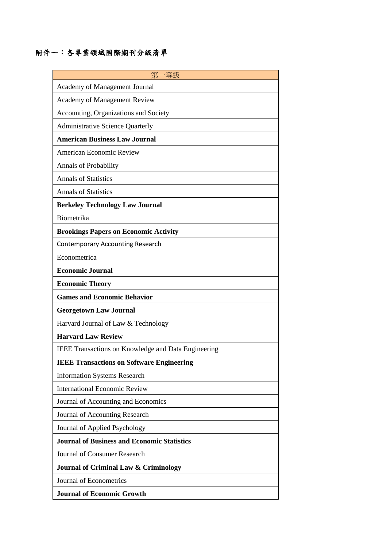## 附件一:各專業領域國際期刊分級清單

| 第-<br>−等級                                                  |
|------------------------------------------------------------|
| Academy of Management Journal                              |
| <b>Academy of Management Review</b>                        |
| Accounting, Organizations and Society                      |
| <b>Administrative Science Quarterly</b>                    |
| <b>American Business Law Journal</b>                       |
| <b>American Economic Review</b>                            |
| <b>Annals of Probability</b>                               |
| <b>Annals of Statistics</b>                                |
| <b>Annals of Statistics</b>                                |
| <b>Berkeley Technology Law Journal</b>                     |
| Biometrika                                                 |
| <b>Brookings Papers on Economic Activity</b>               |
| <b>Contemporary Accounting Research</b>                    |
| Econometrica                                               |
| <b>Economic Journal</b>                                    |
| <b>Economic Theory</b>                                     |
| <b>Games and Economic Behavior</b>                         |
| <b>Georgetown Law Journal</b>                              |
| Harvard Journal of Law & Technology                        |
| <b>Harvard Law Review</b>                                  |
| <b>IEEE Transactions on Knowledge and Data Engineering</b> |
| <b>IEEE Transactions on Software Engineering</b>           |
| <b>Information Systems Research</b>                        |
| <b>International Economic Review</b>                       |
| Journal of Accounting and Economics                        |
| Journal of Accounting Research                             |
| Journal of Applied Psychology                              |
| <b>Journal of Business and Economic Statistics</b>         |
| Journal of Consumer Research                               |
| Journal of Criminal Law & Criminology                      |
| Journal of Econometrics                                    |
| <b>Journal of Economic Growth</b>                          |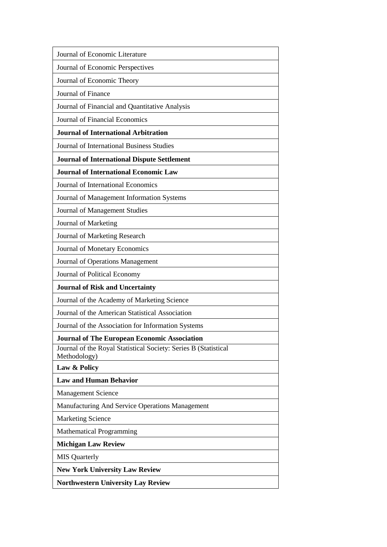| Journal of Economic Literature                                                  |
|---------------------------------------------------------------------------------|
| Journal of Economic Perspectives                                                |
| Journal of Economic Theory                                                      |
| Journal of Finance                                                              |
| Journal of Financial and Quantitative Analysis                                  |
| <b>Journal of Financial Economics</b>                                           |
| <b>Journal of International Arbitration</b>                                     |
| <b>Journal of International Business Studies</b>                                |
| <b>Journal of International Dispute Settlement</b>                              |
| <b>Journal of International Economic Law</b>                                    |
| Journal of International Economics                                              |
| Journal of Management Information Systems                                       |
| Journal of Management Studies                                                   |
| Journal of Marketing                                                            |
| Journal of Marketing Research                                                   |
| Journal of Monetary Economics                                                   |
| Journal of Operations Management                                                |
| Journal of Political Economy                                                    |
| <b>Journal of Risk and Uncertainty</b>                                          |
| Journal of the Academy of Marketing Science                                     |
| Journal of the American Statistical Association                                 |
| Journal of the Association for Information Systems                              |
| <b>Journal of The European Economic Association</b>                             |
| Journal of the Royal Statistical Society: Series B (Statistical<br>Methodology) |
| Law & Policy                                                                    |
| <b>Law and Human Behavior</b>                                                   |
| <b>Management Science</b>                                                       |
| Manufacturing And Service Operations Management                                 |
| <b>Marketing Science</b>                                                        |
| <b>Mathematical Programming</b>                                                 |
| <b>Michigan Law Review</b>                                                      |
| <b>MIS</b> Quarterly                                                            |
| <b>New York University Law Review</b>                                           |
| <b>Northwestern University Lay Review</b>                                       |